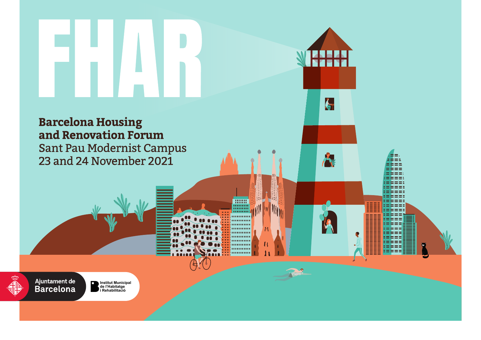$\zeta$ 

**THEFT Million** ,,,,,,,,,,, .......... ,,,,,,,,,, .......... ,,,,,,,,,, .......... . . . . . . . . . . .......... .......... ,,,,,,,,,,

## **Barcelona Housing** and Renovation Forum Sant Pau Modernist Campus 23 and 24 November 2021

Ajuntament de<br>Barcelona

п **Institut Municipal de l'Habitatge i Rehabilitació**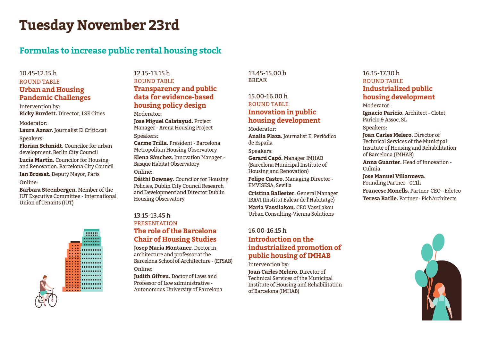## **Tuesday November 23rd**

## **Formulas to increase public rental housing stock**

## 10.45-12.15 h ROUND TABLE **Urban and Housing Pandemic Challenges**

Intervention by: **Ricky Burdett.** Director, LSE Cities

### Moderator:

**Laura Aznar.** Journalist El Crític.cat Speakers:

**Florian Schmidt.** Councilor for urban development. Berlin City Council

**Lucía Martín.** Councilor for Housing and Renovation. Barcelona City Council **Ian Brossat.** Deputy Mayor, Paris Online:

**Barbara Steenbergen.** Member of the IUT Executive Committee - International Union of Tenants (IUT)



## 12.15-13.15 h ROUND TABLE **Transparency and public data for evidence-based housing policy design**

Moderator:

**Jose Miguel Calatayud.** Project Manager - Arena Housing Project Speakers:

**Carme Trilla.** President - Barcelona

Metropolitan Housing Observatory **Elena Sánchez.** Innovation Manager - Basque Habitat Observatory

Online:

**Dáithí Downey.** Councilor for Housing Policies, Dublin City Council Research and Development and Director Dublin Housing Observatory

## 13.15-13.45 h **PRESENTATION The role of the Barcelona Chair of Housing Studies**

**Josep Maria Montaner.** Doctor in architecture and professor at the Barcelona School of Architecture - (ETSAB)

Online:

**Judith Gifreu.** Doctor of Laws and Professor of Law administrative - Autonomous University of Barcelona 13.45-15.00 h BREAK

## 15.00-16.00 h ROUND TABLE **Innovation in public housing development**

Moderator:

**Analía Plaza.** Journalist El Periódico de España

Speakers:

**Gerard Capó.** Manager IMHAB (Barcelona Municipal Institute of Housing and Renovation)

**Felipe Castro.** Managing Director - EMVISESA, Sevilla

**Cristina Ballester.** General Manager IBAVI (Institut Balear de l'Habitatge) **Maria Vassilakou.** CEO Vassilakou Urban Consulting-Vienna Solutions

## 16.00-16.15 h **Introduction on the industrialized promotion of public housing of IMHAB**

Intervention by: **Joan Carles Melero.** Director of Technical Services of the Municipal Institute of Housing and Rehabilitation of Barcelona (IMHAB)

## 16.15-17.30 h ROUND TABLE **Industrialized public housing development**

Moderator:

**Ignacio Paricio.** Architect - Clotet, Paricio & Assoc, SL

Speakers:

**Joan Carles Melero.** Director of Technical Services of the Municipal Institute of Housing and Rehabilitation of Barcelona (IMHAB)

**Anna Guanter.** Head of Innovation - Culmia

**Jose Manuel Villanueva.**  Founding Partner - 011h **Francesc Monells.** Partner-CEO - Edetco **Teresa Batlle.** Partner - PichArchitects

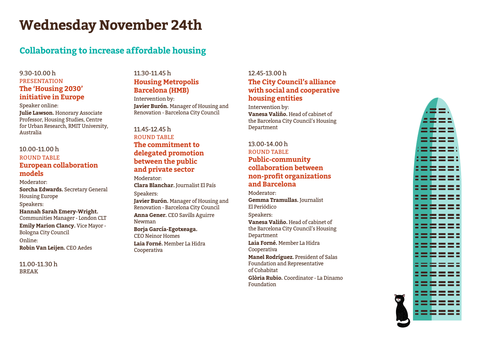## **Wednesday November 24th**

## **Collaborating to increase affordable housing**

## 9.30-10.00 h PRESENTATION **The 'Housing 2030' initiative in Europe**

#### Speaker online:

**Julie Lawson.** Honorary Associate Professor, Housing Studies, Centre for Urban Research, RMIT University, Australia

#### 10.00-11.00 h ROUND TABLE

## **European collaboration models**

Moderator:

**Sorcha Edwards.** Secretary General Housing Europe

Speakers:

**Hannah Sarah Emery-Wright.**  Communities Manager - London CLT

**Emily Marion Clancy.** Vice Mayor - Bologna City Council

Online: **Robin Van Leijen.** CEO Aedes

11.00-11.30 h BREAK

## 11.30-11.45 h **Housing Metropolis Barcelona (HMB)**

Intervention by: **Javier Burón.** Manager of Housing and Renovation - Barcelona City Council

## 11.45-12.45 h ROUND TABLE **The commitment to delegated promotion between the public and private sector**

Moderator:

**Clara Blanchar.** Journalist El País Speakers:

**Javier Burón.** Manager of Housing and Renovation - Barcelona City Council **Anna Gener.** CEO Savills Aguirre Newman **Borja García-Egotxeaga.** 

CEO Neinor Homes **Laia Forné.** Member La Hidra Cooperativa

## 12.45-13.00 h **The City Council's alliance with social and cooperative housing entities**

Intervention by: **Vanesa Valiño.** Head of cabinet of the Barcelona City Council's Housing Department

## 13.00-14.00 h ROUND TABLE **Public-community collaboration between non-profit organizations and Barcelona**

Moderator:

**Gemma Tramullas.** Journalist El Periódico

Speakers:

**Vanesa Valiño.** Head of cabinet of the Barcelona City Council's Housing Department

**Laia Forné.** Member La Hidra Cooperativa

**Manel Rodríguez.** President of Salas Foundation and Representative of Cohabitat

**Glòria Rubio.** Coordinator - La Dinamo Foundation